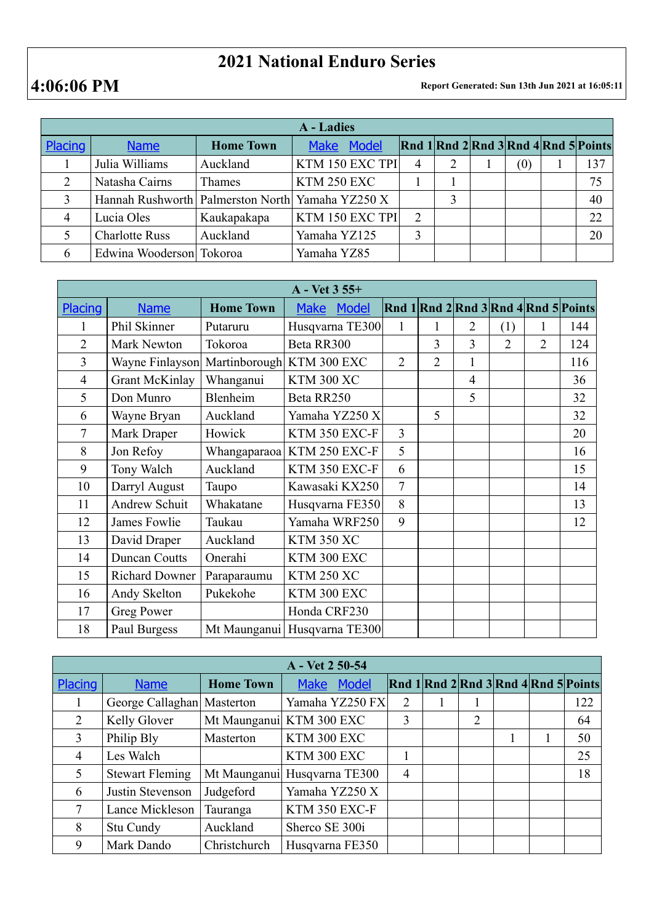## **2021 National Enduro Series**

**4:06:06 PM Report Generated: Sun 13th Jun 2021 at 16:05:11**

| A - Ladies |                                                      |                  |                 |   |   |  |     |                                      |     |  |
|------------|------------------------------------------------------|------------------|-----------------|---|---|--|-----|--------------------------------------|-----|--|
| Placing    | <b>Name</b>                                          | <b>Home Town</b> | Make Model      |   |   |  |     | Rnd 1 Rnd 2 Rnd 3 Rnd 4 Rnd 5 Points |     |  |
|            | Julia Williams                                       | Auckland         | KTM 150 EXC TPI |   | 2 |  | (0) |                                      | 137 |  |
| 2          | Natasha Cairns                                       | <b>Thames</b>    | KTM 250 EXC     |   |   |  |     |                                      | 75  |  |
|            | Hannah Rushworth   Palmerston North   Yamaha YZ250 X |                  |                 |   | 3 |  |     |                                      | 40  |  |
|            | Lucia Oles                                           | Kaukapakapa      | KTM 150 EXC TPI | ↑ |   |  |     |                                      | 22  |  |
|            | <b>Charlotte Russ</b>                                | Auckland         | Yamaha YZ125    | 3 |   |  |     |                                      | 20  |  |
| 6          | Edwina Wooderson Tokoroa                             |                  | Yamaha YZ85     |   |   |  |     |                                      |     |  |

| $A - Vet 3 55+$ |                       |                  |                              |                |                |                |                |                |                                      |  |  |
|-----------------|-----------------------|------------------|------------------------------|----------------|----------------|----------------|----------------|----------------|--------------------------------------|--|--|
| Placing         | <b>Name</b>           | <b>Home Town</b> | <b>Model</b><br><b>Make</b>  |                |                |                |                |                | Rnd 1 Rnd 2 Rnd 3 Rnd 4 Rnd 5 Points |  |  |
|                 | Phil Skinner          | Putaruru         | Husqvarna TE300              | 1              |                | $\overline{2}$ | (1)            |                | 144                                  |  |  |
| $\overline{2}$  | Mark Newton           | Tokoroa          | Beta RR300                   |                | $\overline{3}$ | 3              | $\overline{2}$ | $\overline{2}$ | 124                                  |  |  |
| $\overline{3}$  | Wayne Finlayson       |                  | Martinborough KTM 300 EXC    | $\overline{2}$ | $\overline{2}$ | 1              |                |                | 116                                  |  |  |
| $\overline{4}$  | <b>Grant McKinlay</b> | Whanganui        | <b>KTM 300 XC</b>            |                |                | $\overline{4}$ |                |                | 36                                   |  |  |
| 5               | Don Munro             | Blenheim         | Beta RR250                   |                |                | 5              |                |                | 32                                   |  |  |
| 6               | Wayne Bryan           | Auckland         | Yamaha YZ250 X               |                | 5              |                |                |                | 32                                   |  |  |
| 7               | Mark Draper           | Howick           | KTM 350 EXC-F                | 3              |                |                |                |                | 20                                   |  |  |
| 8               | Jon Refoy             |                  | Whangaparaoa   KTM 250 EXC-F | 5              |                |                |                |                | 16                                   |  |  |
| 9               | Tony Walch            | Auckland         | KTM 350 EXC-F                | 6              |                |                |                |                | 15                                   |  |  |
| 10              | Darryl August         | Taupo            | Kawasaki KX250               | 7              |                |                |                |                | 14                                   |  |  |
| 11              | <b>Andrew Schuit</b>  | Whakatane        | Husqvarna FE350              | 8              |                |                |                |                | 13                                   |  |  |
| 12              | James Fowlie          | Taukau           | Yamaha WRF250                | 9              |                |                |                |                | 12                                   |  |  |
| 13              | David Draper          | Auckland         | <b>KTM 350 XC</b>            |                |                |                |                |                |                                      |  |  |
| 14              | <b>Duncan Coutts</b>  | Onerahi          | KTM 300 EXC                  |                |                |                |                |                |                                      |  |  |
| 15              | <b>Richard Downer</b> | Paraparaumu      | <b>KTM 250 XC</b>            |                |                |                |                |                |                                      |  |  |
| 16              | Andy Skelton          | Pukekohe         | KTM 300 EXC                  |                |                |                |                |                |                                      |  |  |
| 17              | <b>Greg Power</b>     |                  | Honda CRF230                 |                |                |                |                |                |                                      |  |  |
| 18              | Paul Burgess          |                  | Mt Maunganui Husqvarna TE300 |                |                |                |                |                |                                      |  |  |

| A - Vet 2 50-54 |                            |                  |                          |  |   |  |                |  |   |                                      |
|-----------------|----------------------------|------------------|--------------------------|--|---|--|----------------|--|---|--------------------------------------|
| <b>Placing</b>  | <b>Name</b>                | <b>Home Town</b> | Model<br><b>Make</b>     |  |   |  |                |  |   | Rnd 1 Rnd 2 Rnd 3 Rnd 4 Rnd 5 Points |
|                 | George Callaghan Masterton |                  | Yamaha YZ250 FX          |  | 2 |  |                |  |   | 122                                  |
| 2               | Kelly Glover               |                  | Mt Maunganui KTM 300 EXC |  | 3 |  | $\overline{2}$ |  |   | 64                                   |
| $\overline{3}$  | Philip Bly                 | Masterton        | KTM 300 EXC              |  |   |  |                |  | L | 50                                   |
| $\overline{4}$  | Les Walch                  |                  | KTM 300 EXC              |  |   |  |                |  |   | 25                                   |
| 5               | <b>Stewart Fleming</b>     | Mt Maunganui     | Husqvarna TE300          |  | 4 |  |                |  |   | 18                                   |
| 6               | Justin Stevenson           | Judgeford        | Yamaha YZ250 X           |  |   |  |                |  |   |                                      |
| 7               | Lance Mickleson            | Tauranga         | KTM 350 EXC-F            |  |   |  |                |  |   |                                      |
| 8               | Stu Cundy                  | Auckland         | Sherco SE 300i           |  |   |  |                |  |   |                                      |
| 9               | Mark Dando                 | Christchurch     | Husqvarna FE350          |  |   |  |                |  |   |                                      |